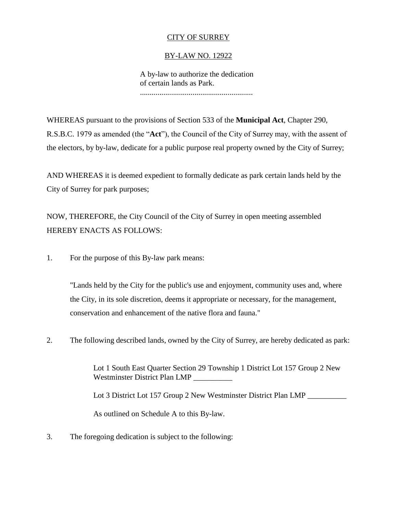## CITY OF SURREY

## BY-LAW NO. 12922

A by-law to authorize the dedication of certain lands as Park. ..........................................................

WHEREAS pursuant to the provisions of Section 533 of the **Municipal Act**, Chapter 290, R.S.B.C. 1979 as amended (the "**Act**"), the Council of the City of Surrey may, with the assent of the electors, by by-law, dedicate for a public purpose real property owned by the City of Surrey;

AND WHEREAS it is deemed expedient to formally dedicate as park certain lands held by the City of Surrey for park purposes;

NOW, THEREFORE, the City Council of the City of Surrey in open meeting assembled HEREBY ENACTS AS FOLLOWS:

1. For the purpose of this By-law park means:

"Lands held by the City for the public's use and enjoyment, community uses and, where the City, in its sole discretion, deems it appropriate or necessary, for the management, conservation and enhancement of the native flora and fauna."

2. The following described lands, owned by the City of Surrey, are hereby dedicated as park:

Lot 1 South East Quarter Section 29 Township 1 District Lot 157 Group 2 New Westminster District Plan LMP

Lot 3 District Lot 157 Group 2 New Westminster District Plan LMP

As outlined on Schedule A to this By-law.

3. The foregoing dedication is subject to the following: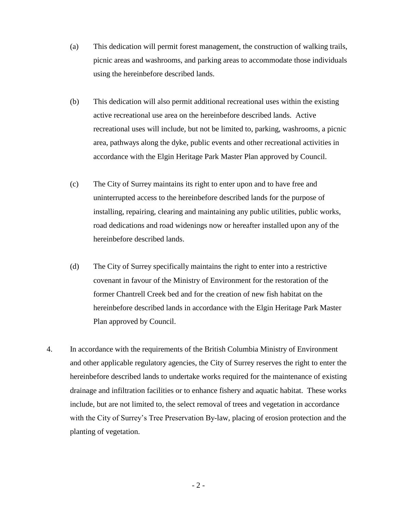- (a) This dedication will permit forest management, the construction of walking trails, picnic areas and washrooms, and parking areas to accommodate those individuals using the hereinbefore described lands.
- (b) This dedication will also permit additional recreational uses within the existing active recreational use area on the hereinbefore described lands. Active recreational uses will include, but not be limited to, parking, washrooms, a picnic area, pathways along the dyke, public events and other recreational activities in accordance with the Elgin Heritage Park Master Plan approved by Council.
- (c) The City of Surrey maintains its right to enter upon and to have free and uninterrupted access to the hereinbefore described lands for the purpose of installing, repairing, clearing and maintaining any public utilities, public works, road dedications and road widenings now or hereafter installed upon any of the hereinbefore described lands.
- (d) The City of Surrey specifically maintains the right to enter into a restrictive covenant in favour of the Ministry of Environment for the restoration of the former Chantrell Creek bed and for the creation of new fish habitat on the hereinbefore described lands in accordance with the Elgin Heritage Park Master Plan approved by Council.
- 4. In accordance with the requirements of the British Columbia Ministry of Environment and other applicable regulatory agencies, the City of Surrey reserves the right to enter the hereinbefore described lands to undertake works required for the maintenance of existing drainage and infiltration facilities or to enhance fishery and aquatic habitat. These works include, but are not limited to, the select removal of trees and vegetation in accordance with the City of Surrey's Tree Preservation By-law, placing of erosion protection and the planting of vegetation.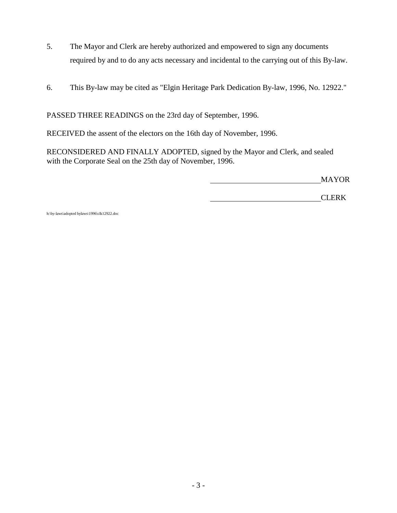- 5. The Mayor and Clerk are hereby authorized and empowered to sign any documents required by and to do any acts necessary and incidental to the carrying out of this By-law.
- 6. This By-law may be cited as "Elgin Heritage Park Dedication By-law, 1996, No. 12922."

PASSED THREE READINGS on the 23rd day of September, 1996.

RECEIVED the assent of the electors on the 16th day of November, 1996.

RECONSIDERED AND FINALLY ADOPTED, signed by the Mayor and Clerk, and sealed with the Corporate Seal on the 25th day of November, 1996.

MAYOR

CLERK

h:\by-laws\adopted bylaws\1996\clk12922.doc